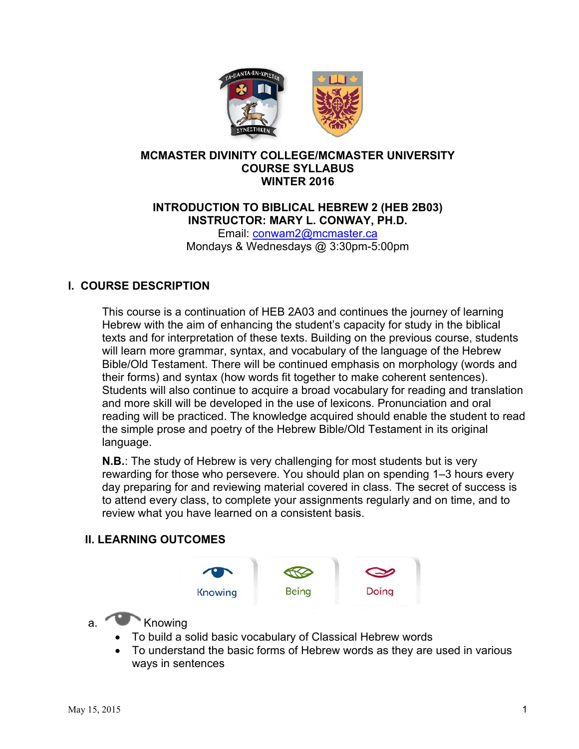

### **MCMASTER DIVINITY COLLEGE/MCMASTER UNIVERSITY COURSE SYLLABUS WINTER 2016**

## **INTRODUCTION TO BIBLICAL HEBREW 2 (HEB 2B03) INSTRUCTOR: MARY L. CONWAY, PH.D.**

Email: conwam2@mcmaster.ca Mondays & Wednesdays @ 3:30pm-5:00pm

# **I. COURSE DESCRIPTION**

This course is a continuation of HEB 2A03 and continues the journey of learning Hebrew with the aim of enhancing the student's capacity for study in the biblical texts and for interpretation of these texts. Building on the previous course, students will learn more grammar, syntax, and vocabulary of the language of the Hebrew Bible/Old Testament. There will be continued emphasis on morphology (words and their forms) and syntax (how words fit together to make coherent sentences). Students will also continue to acquire a broad vocabulary for reading and translation and more skill will be developed in the use of lexicons. Pronunciation and oral reading will be practiced. The knowledge acquired should enable the student to read the simple prose and poetry of the Hebrew Bible/Old Testament in its original language.

**N.B.**: The study of Hebrew is very challenging for most students but is very rewarding for those who persevere. You should plan on spending 1–3 hours every day preparing for and reviewing material covered in class. The secret of success is to attend every class, to complete your assignments regularly and on time, and to review what you have learned on a consistent basis.

#### **II. LEARNING OUTCOMES**



- a. Knowing
	- To build a solid basic vocabulary of Classical Hebrew words
	- To understand the basic forms of Hebrew words as they are used in various ways in sentences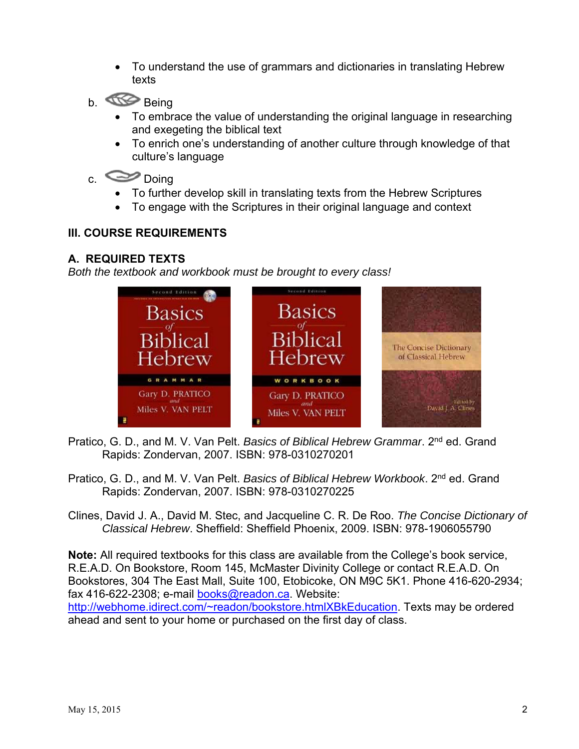- To understand the use of grammars and dictionaries in translating Hebrew texts
- b. **Being** 
	- To embrace the value of understanding the original language in researching and exegeting the biblical text
	- To enrich one's understanding of another culture through knowledge of that culture's language

# c. Doing

- To further develop skill in translating texts from the Hebrew Scriptures
- To engage with the Scriptures in their original language and context

## **III. COURSE REQUIREMENTS**

### **A. REQUIRED TEXTS**

*Both the textbook and workbook must be brought to every class!* 



- Pratico, G. D., and M. V. Van Pelt. *Basics of Biblical Hebrew Grammar*. 2nd ed. Grand Rapids: Zondervan, 2007. ISBN: 978-0310270201
- Pratico, G. D., and M. V. Van Pelt. *Basics of Biblical Hebrew Workbook*. 2nd ed. Grand Rapids: Zondervan, 2007. ISBN: 978-0310270225
- Clines, David J. A., David M. Stec, and Jacqueline C. R. De Roo. *The Concise Dictionary of Classical Hebrew*. Sheffield: Sheffield Phoenix, 2009. ISBN: 978-1906055790

**Note:** All required textbooks for this class are available from the College's book service, R.E.A.D. On Bookstore, Room 145, McMaster Divinity College or contact R.E.A.D. On Bookstores, 304 The East Mall, Suite 100, Etobicoke, ON M9C 5K1. Phone 416-620-2934; fax 416-622-2308; e-mail books@readon.ca. Website: http://webhome.idirect.com/~readon/bookstore.htmlXBkEducation. Texts may be ordered ahead and sent to your home or purchased on the first day of class.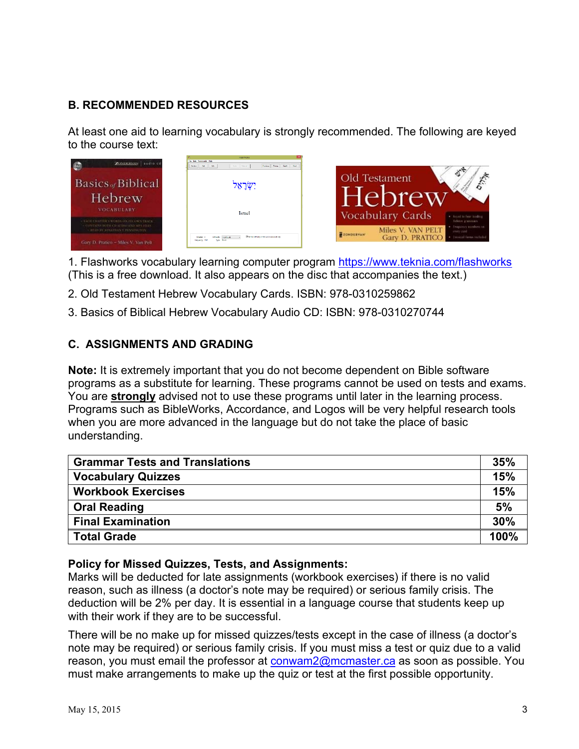# **B. RECOMMENDED RESOURCES**

At least one aid to learning vocabulary is strongly recommended. The following are keyed to the course text:



1. Flashworks vocabulary learning computer program https://www.teknia.com/flashworks (This is a free download. It also appears on the disc that accompanies the text.)

- 2. Old Testament Hebrew Vocabulary Cards. ISBN: 978-0310259862
- 3. Basics of Biblical Hebrew Vocabulary Audio CD: ISBN: 978-0310270744

## **C. ASSIGNMENTS AND GRADING**

**Note:** It is extremely important that you do not become dependent on Bible software programs as a substitute for learning. These programs cannot be used on tests and exams. You are **strongly** advised not to use these programs until later in the learning process. Programs such as BibleWorks, Accordance, and Logos will be very helpful research tools when you are more advanced in the language but do not take the place of basic understanding.

| <b>Grammar Tests and Translations</b> |      |  |
|---------------------------------------|------|--|
| <b>Vocabulary Quizzes</b>             | 15%  |  |
| <b>Workbook Exercises</b>             | 15%  |  |
| <b>Oral Reading</b>                   | 5%   |  |
| <b>Final Examination</b>              | 30%  |  |
| <b>Total Grade</b>                    | 100% |  |

#### **Policy for Missed Quizzes, Tests, and Assignments:**

Marks will be deducted for late assignments (workbook exercises) if there is no valid reason, such as illness (a doctor's note may be required) or serious family crisis. The deduction will be 2% per day. It is essential in a language course that students keep up with their work if they are to be successful.

There will be no make up for missed quizzes/tests except in the case of illness (a doctor's note may be required) or serious family crisis. If you must miss a test or quiz due to a valid reason, you must email the professor at conwam2@mcmaster.ca as soon as possible. You must make arrangements to make up the quiz or test at the first possible opportunity.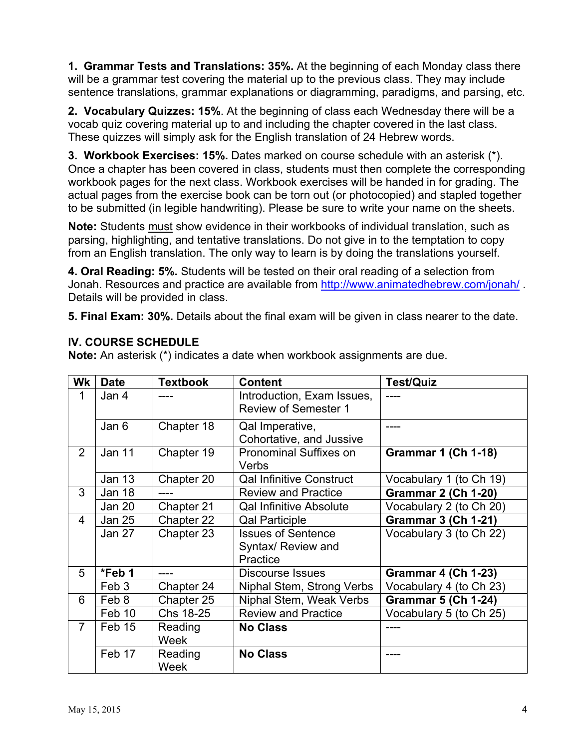**1. Grammar Tests and Translations: 35%.** At the beginning of each Monday class there will be a grammar test covering the material up to the previous class. They may include sentence translations, grammar explanations or diagramming, paradigms, and parsing, etc.

**2. Vocabulary Quizzes: 15%**. At the beginning of class each Wednesday there will be a vocab quiz covering material up to and including the chapter covered in the last class. These quizzes will simply ask for the English translation of 24 Hebrew words.

**3. Workbook Exercises: 15%.** Dates marked on course schedule with an asterisk (\*). Once a chapter has been covered in class, students must then complete the corresponding workbook pages for the next class. Workbook exercises will be handed in for grading. The actual pages from the exercise book can be torn out (or photocopied) and stapled together to be submitted (in legible handwriting). Please be sure to write your name on the sheets.

**Note:** Students must show evidence in their workbooks of individual translation, such as parsing, highlighting, and tentative translations. Do not give in to the temptation to copy from an English translation. The only way to learn is by doing the translations yourself.

**4. Oral Reading: 5%.** Students will be tested on their oral reading of a selection from Jonah. Resources and practice are available from http://www.animatedhebrew.com/jonah/. Details will be provided in class.

**5. Final Exam: 30%.** Details about the final exam will be given in class nearer to the date.

## **IV. COURSE SCHEDULE**

**Note:** An asterisk (\*) indicates a date when workbook assignments are due.

| Wk             | <b>Date</b>   | Textbook               | <b>Content</b>                                            | <b>Test/Quiz</b>           |
|----------------|---------------|------------------------|-----------------------------------------------------------|----------------------------|
| 1              | Jan 4         |                        | Introduction, Exam Issues,<br><b>Review of Semester 1</b> |                            |
|                | Jan 6         | Chapter 18             | Qal Imperative,<br>Cohortative, and Jussive               |                            |
| $\overline{2}$ | <b>Jan 11</b> | Chapter 19             | <b>Pronominal Suffixes on</b><br>Verbs                    | <b>Grammar 1 (Ch 1-18)</b> |
|                | <b>Jan 13</b> | Chapter 20             | <b>Qal Infinitive Construct</b>                           | Vocabulary 1 (to Ch 19)    |
| 3              | Jan 18        | ----                   | <b>Review and Practice</b>                                | <b>Grammar 2 (Ch 1-20)</b> |
|                | <b>Jan 20</b> | Chapter 21             | <b>Qal Infinitive Absolute</b>                            | Vocabulary 2 (to Ch 20)    |
| 4              | <b>Jan 25</b> | Chapter 22             | <b>Qal Participle</b>                                     | <b>Grammar 3 (Ch 1-21)</b> |
|                | Jan 27        | Chapter 23             | <b>Issues of Sentence</b>                                 | Vocabulary 3 (to Ch 22)    |
|                |               |                        | Syntax/ Review and<br>Practice                            |                            |
| 5              | *Feb 1        | ----                   | <b>Discourse Issues</b>                                   | <b>Grammar 4 (Ch 1-23)</b> |
|                | Feb 3         | Chapter 24             | Niphal Stem, Strong Verbs                                 | Vocabulary 4 (to Ch 23)    |
| 6              | Feb 8         | Chapter 25             | Niphal Stem, Weak Verbs                                   | <b>Grammar 5 (Ch 1-24)</b> |
|                | Feb 10        | Chs 18-25              | <b>Review and Practice</b>                                | Vocabulary 5 (to Ch 25)    |
| $\overline{7}$ | Feb 15        | Reading<br>Week        | <b>No Class</b>                                           |                            |
|                | Feb 17        | Reading<br><b>Week</b> | <b>No Class</b>                                           |                            |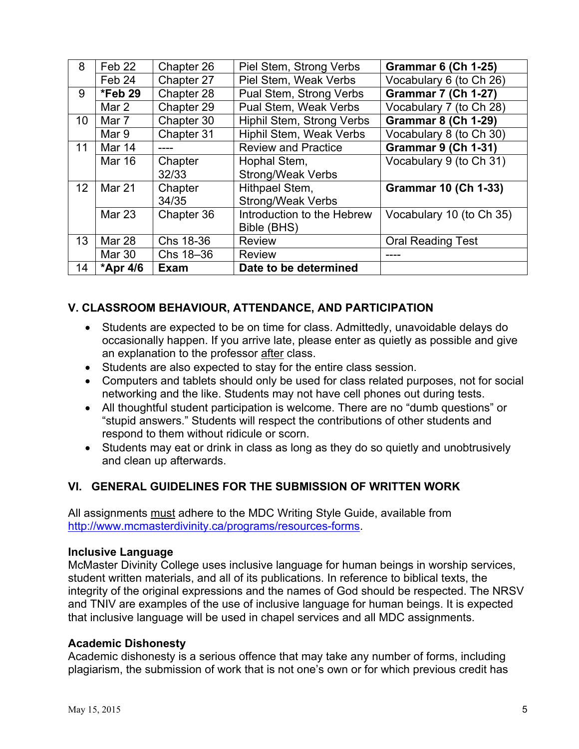| 8               | Feb 22        | Chapter 26  | Piel Stem, Strong Verbs    | <b>Grammar 6 (Ch 1-25)</b>  |
|-----------------|---------------|-------------|----------------------------|-----------------------------|
|                 | Feb 24        | Chapter 27  | Piel Stem, Weak Verbs      | Vocabulary 6 (to Ch 26)     |
| 9               | $*$ Feb 29    | Chapter 28  | Pual Stem, Strong Verbs    | <b>Grammar 7 (Ch 1-27)</b>  |
|                 | Mar 2         | Chapter 29  | Pual Stem, Weak Verbs      | Vocabulary 7 (to Ch 28)     |
| 10 <sup>°</sup> | Mar 7         | Chapter 30  | Hiphil Stem, Strong Verbs  | <b>Grammar 8 (Ch 1-29)</b>  |
|                 | Mar 9         | Chapter 31  | Hiphil Stem, Weak Verbs    | Vocabulary 8 (to Ch 30)     |
| 11              | <b>Mar 14</b> |             | <b>Review and Practice</b> | <b>Grammar 9 (Ch 1-31)</b>  |
|                 | <b>Mar 16</b> | Chapter     | Hophal Stem,               | Vocabulary 9 (to Ch 31)     |
|                 |               | 32/33       | <b>Strong/Weak Verbs</b>   |                             |
| 12 <sup>2</sup> | Mar 21        | Chapter     | Hithpael Stem,             | <b>Grammar 10 (Ch 1-33)</b> |
|                 |               | 34/35       | Strong/Weak Verbs          |                             |
|                 | <b>Mar 23</b> | Chapter 36  | Introduction to the Hebrew | Vocabulary 10 (to Ch 35)    |
|                 |               |             | Bible (BHS)                |                             |
| 13              | <b>Mar 28</b> | Chs 18-36   | <b>Review</b>              | <b>Oral Reading Test</b>    |
|                 | Mar 30        | Chs 18-36   | <b>Review</b>              |                             |
| 14              | *Apr 4/6      | <b>Exam</b> | Date to be determined      |                             |

## **V. CLASSROOM BEHAVIOUR, ATTENDANCE, AND PARTICIPATION**

- Students are expected to be on time for class. Admittedly, unavoidable delays do occasionally happen. If you arrive late, please enter as quietly as possible and give an explanation to the professor after class.
- Students are also expected to stay for the entire class session.
- Computers and tablets should only be used for class related purposes, not for social networking and the like. Students may not have cell phones out during tests.
- All thoughtful student participation is welcome. There are no "dumb questions" or "stupid answers." Students will respect the contributions of other students and respond to them without ridicule or scorn.
- Students may eat or drink in class as long as they do so quietly and unobtrusively and clean up afterwards.

## **VI. GENERAL GUIDELINES FOR THE SUBMISSION OF WRITTEN WORK**

All assignments must adhere to the MDC Writing Style Guide, available from http://www.mcmasterdivinity.ca/programs/resources-forms.

#### **Inclusive Language**

McMaster Divinity College uses inclusive language for human beings in worship services, student written materials, and all of its publications. In reference to biblical texts, the integrity of the original expressions and the names of God should be respected. The NRSV and TNIV are examples of the use of inclusive language for human beings. It is expected that inclusive language will be used in chapel services and all MDC assignments.

#### **Academic Dishonesty**

Academic dishonesty is a serious offence that may take any number of forms, including plagiarism, the submission of work that is not one's own or for which previous credit has